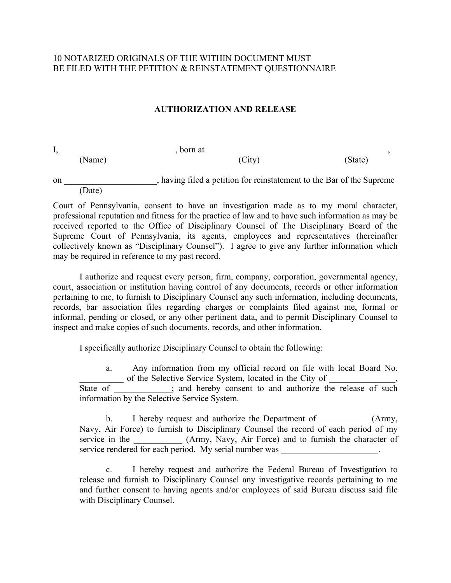## 10 NOTARIZED ORIGINALS OF THE WITHIN DOCUMENT MUST BE FILED WITH THE PETITION & REINSTATEMENT QUESTIONNAIRE

## **AUTHORIZATION AND RELEASE**

| л.     | born at |         |
|--------|---------|---------|
| (Name) | (City)  | (State) |

on \_\_\_\_\_\_\_\_\_\_\_\_\_\_\_\_\_\_\_\_\_, having filed a petition for reinstatement to the Bar of the Supreme (Date)

Court of Pennsylvania, consent to have an investigation made as to my moral character, professional reputation and fitness for the practice of law and to have such information as may be received reported to the Office of Disciplinary Counsel of The Disciplinary Board of the Supreme Court of Pennsylvania, its agents, employees and representatives (hereinafter collectively known as "Disciplinary Counsel"). I agree to give any further information which may be required in reference to my past record.

 I authorize and request every person, firm, company, corporation, governmental agency, court, association or institution having control of any documents, records or other information pertaining to me, to furnish to Disciplinary Counsel any such information, including documents, records, bar association files regarding charges or complaints filed against me, formal or informal, pending or closed, or any other pertinent data, and to permit Disciplinary Counsel to inspect and make copies of such documents, records, and other information.

I specifically authorize Disciplinary Counsel to obtain the following:

 a. Any information from my official record on file with local Board No. \_\_\_\_\_\_\_\_\_\_ of the Selective Service System, located in the City of \_\_\_\_\_\_\_\_\_\_\_\_\_\_\_,

State of \_\_\_\_\_\_\_\_\_; and hereby consent to and authorize the release of such information by the Selective Service System.

b. I hereby request and authorize the Department of  $(Army,$ Navy, Air Force) to furnish to Disciplinary Counsel the record of each period of my service in the  $(Army, Navy, Air Force)$  and to furnish the character of service rendered for each period. My serial number was

 c. I hereby request and authorize the Federal Bureau of Investigation to release and furnish to Disciplinary Counsel any investigative records pertaining to me and further consent to having agents and/or employees of said Bureau discuss said file with Disciplinary Counsel.